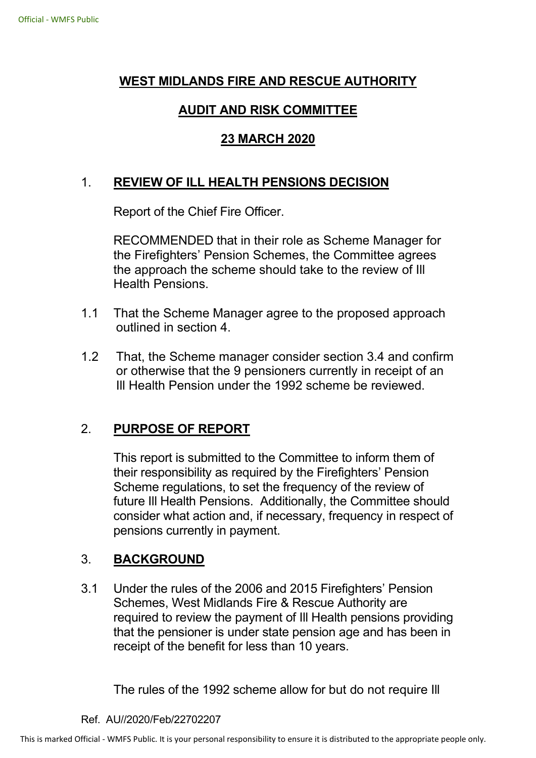# **WEST MIDLANDS FIRE AND RESCUE AUTHORITY**

# **AUDIT AND RISK COMMITTEE**

# **23 MARCH 2020**

# 1. **REVIEW OF ILL HEALTH PENSIONS DECISION**

Report of the Chief Fire Officer.

 RECOMMENDED that in their role as Scheme Manager for the Firefighters' Pension Schemes, the Committee agrees the approach the scheme should take to the review of Ill Health Pensions.

- 1.1 That the Scheme Manager agree to the proposed approach outlined in section 4.
- 1.2 That, the Scheme manager consider section 3.4 and confirm or otherwise that the 9 pensioners currently in receipt of an Ill Health Pension under the 1992 scheme be reviewed.

# 2. **PURPOSE OF REPORT**

 This report is submitted to the Committee to inform them of their responsibility as required by the Firefighters' Pension Scheme regulations, to set the frequency of the review of future Ill Health Pensions. Additionally, the Committee should consider what action and, if necessary, frequency in respect of pensions currently in payment.

# 3. **BACKGROUND**

3.1 Under the rules of the 2006 and 2015 Firefighters' Pension Schemes, West Midlands Fire & Rescue Authority are required to review the payment of Ill Health pensions providing that the pensioner is under state pension age and has been in receipt of the benefit for less than 10 years.

The rules of the 1992 scheme allow for but do not require Ill

#### Ref. AU//2020/Feb/22702207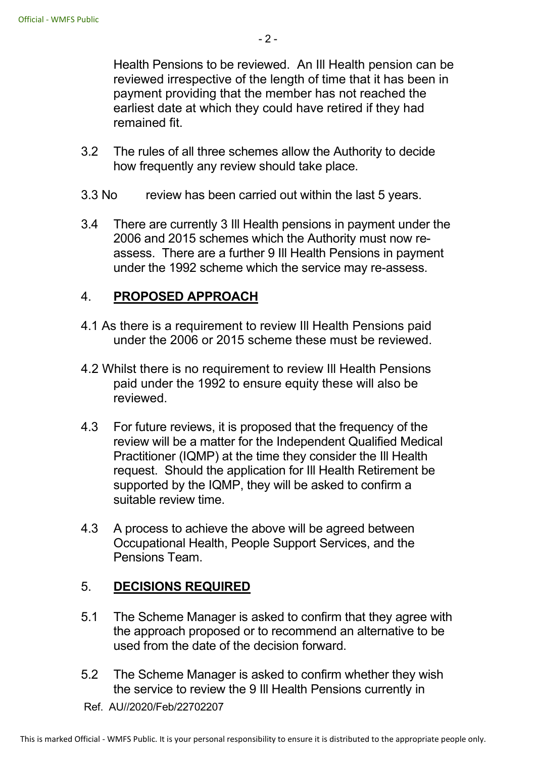Health Pensions to be reviewed. An Ill Health pension can be reviewed irrespective of the length of time that it has been in payment providing that the member has not reached the earliest date at which they could have retired if they had remained fit.

- 3.2 The rules of all three schemes allow the Authority to decide how frequently any review should take place.
- 3.3 No review has been carried out within the last 5 years.
- 3.4 There are currently 3 Ill Health pensions in payment under the 2006 and 2015 schemes which the Authority must now reassess. There are a further 9 Ill Health Pensions in payment under the 1992 scheme which the service may re-assess.

#### 4. **PROPOSED APPROACH**

- 4.1 As there is a requirement to review Ill Health Pensions paid under the 2006 or 2015 scheme these must be reviewed.
- 4.2 Whilst there is no requirement to review Ill Health Pensions paid under the 1992 to ensure equity these will also be reviewed.
- 4.3 For future reviews, it is proposed that the frequency of the review will be a matter for the Independent Qualified Medical Practitioner (IQMP) at the time they consider the Ill Health request. Should the application for Ill Health Retirement be supported by the IQMP, they will be asked to confirm a suitable review time.
- 4.3 A process to achieve the above will be agreed between Occupational Health, People Support Services, and the Pensions Team.

# 5. **DECISIONS REQUIRED**

- 5.1 The Scheme Manager is asked to confirm that they agree with the approach proposed or to recommend an alternative to be used from the date of the decision forward.
- 5.2 The Scheme Manager is asked to confirm whether they wish the service to review the 9 Ill Health Pensions currently in

Ref. AU//2020/Feb/22702207